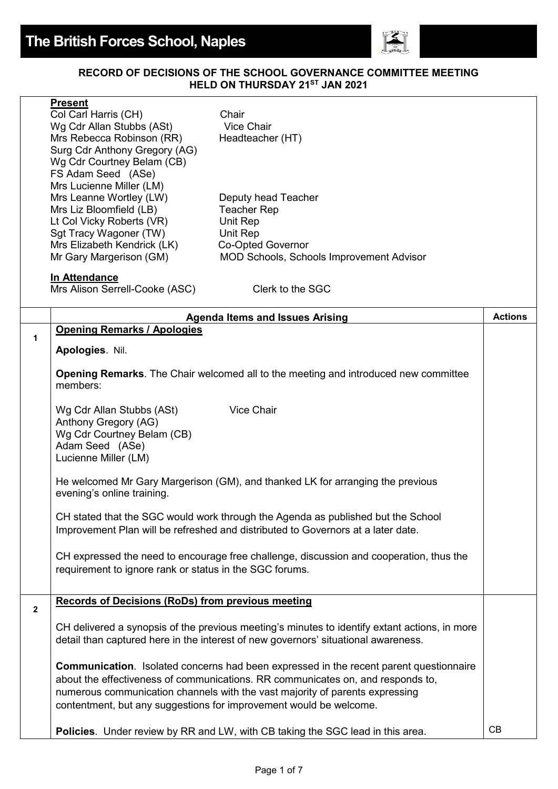

## **RECORD OF DECISIONS OF THE SCHOOL GOVERNANCE COMMITTEE MEETING HELD ON THURSDAY 21ST JAN 2021**

|              | <b>Present</b><br>Col Carl Harris (CH)<br>Wg Cdr Allan Stubbs (ASt)<br>Mrs Rebecca Robinson (RR)<br>Surg Cdr Anthony Gregory (AG)<br>Wg Cdr Courtney Belam (CB)<br>FS Adam Seed (ASe)<br>Mrs Lucienne Miller (LM)<br>Mrs Leanne Wortley (LW)<br>Mrs Liz Bloomfield (LB)                                                                | Chair<br><b>Vice Chair</b><br>Headteacher (HT)<br>Deputy head Teacher<br><b>Teacher Rep</b>                                                                          |                |
|--------------|----------------------------------------------------------------------------------------------------------------------------------------------------------------------------------------------------------------------------------------------------------------------------------------------------------------------------------------|----------------------------------------------------------------------------------------------------------------------------------------------------------------------|----------------|
|              | Lt Col Vicky Roberts (VR)                                                                                                                                                                                                                                                                                                              | Unit Rep                                                                                                                                                             |                |
|              | Sgt Tracy Wagoner (TW)                                                                                                                                                                                                                                                                                                                 | Unit Rep                                                                                                                                                             |                |
|              | Mrs Elizabeth Kendrick (LK)<br>Mr Gary Margerison (GM)                                                                                                                                                                                                                                                                                 | Co-Opted Governor<br><b>MOD Schools, Schools Improvement Advisor</b>                                                                                                 |                |
|              |                                                                                                                                                                                                                                                                                                                                        |                                                                                                                                                                      |                |
|              | In Attendance<br>Mrs Alison Serrell-Cooke (ASC)                                                                                                                                                                                                                                                                                        | Clerk to the SGC                                                                                                                                                     |                |
|              |                                                                                                                                                                                                                                                                                                                                        | <b>Agenda Items and Issues Arising</b>                                                                                                                               | <b>Actions</b> |
| 1            | <b>Opening Remarks / Apologies</b>                                                                                                                                                                                                                                                                                                     |                                                                                                                                                                      |                |
|              | Apologies. Nil.                                                                                                                                                                                                                                                                                                                        |                                                                                                                                                                      |                |
|              | <b>Opening Remarks</b> . The Chair welcomed all to the meeting and introduced new committee<br>members:                                                                                                                                                                                                                                |                                                                                                                                                                      |                |
|              | Wg Cdr Allan Stubbs (ASt)<br>Anthony Gregory (AG)<br>Wg Cdr Courtney Belam (CB)<br>Adam Seed (ASe)<br>Lucienne Miller (LM)                                                                                                                                                                                                             | Vice Chair                                                                                                                                                           |                |
|              | He welcomed Mr Gary Margerison (GM), and thanked LK for arranging the previous<br>evening's online training.                                                                                                                                                                                                                           |                                                                                                                                                                      |                |
|              |                                                                                                                                                                                                                                                                                                                                        | CH stated that the SGC would work through the Agenda as published but the School<br>Improvement Plan will be refreshed and distributed to Governors at a later date. |                |
|              | requirement to ignore rank or status in the SGC forums.                                                                                                                                                                                                                                                                                | CH expressed the need to encourage free challenge, discussion and cooperation, thus the                                                                              |                |
| $\mathbf{2}$ | <b>Records of Decisions (RoDs) from previous meeting</b>                                                                                                                                                                                                                                                                               |                                                                                                                                                                      |                |
|              | CH delivered a synopsis of the previous meeting's minutes to identify extant actions, in more<br>detail than captured here in the interest of new governors' situational awareness.                                                                                                                                                    |                                                                                                                                                                      |                |
|              | <b>Communication.</b> Isolated concerns had been expressed in the recent parent questionnaire<br>about the effectiveness of communications. RR communicates on, and responds to,<br>numerous communication channels with the vast majority of parents expressing<br>contentment, but any suggestions for improvement would be welcome. |                                                                                                                                                                      |                |
|              |                                                                                                                                                                                                                                                                                                                                        | Policies. Under review by RR and LW, with CB taking the SGC lead in this area.                                                                                       | <b>CB</b>      |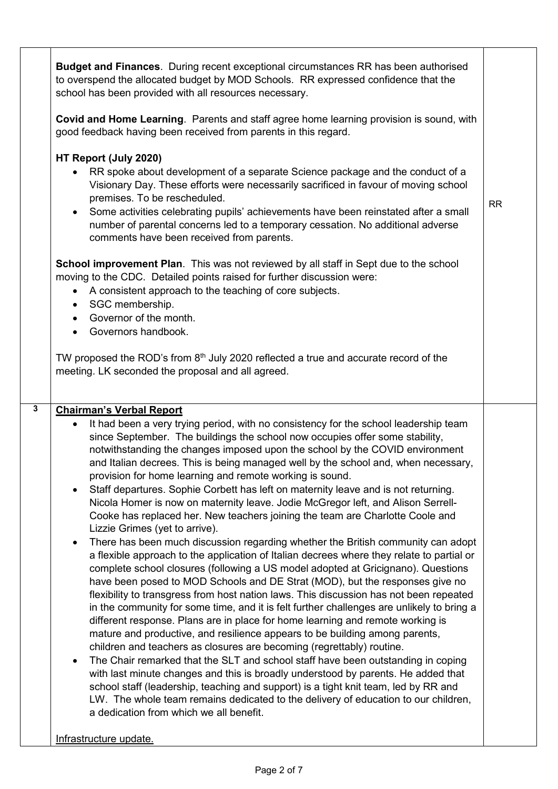|                                          | to overspend the allocated budget by MOD Schools. RR expressed confidence that the<br>school has been provided with all resources necessary.                                                                                                                                                                                                                                                                                                                                                                                                                                                                                                                                                                                                                                                                                                                                                                                                                             |           |
|------------------------------------------|--------------------------------------------------------------------------------------------------------------------------------------------------------------------------------------------------------------------------------------------------------------------------------------------------------------------------------------------------------------------------------------------------------------------------------------------------------------------------------------------------------------------------------------------------------------------------------------------------------------------------------------------------------------------------------------------------------------------------------------------------------------------------------------------------------------------------------------------------------------------------------------------------------------------------------------------------------------------------|-----------|
|                                          | Covid and Home Learning. Parents and staff agree home learning provision is sound, with<br>good feedback having been received from parents in this regard.                                                                                                                                                                                                                                                                                                                                                                                                                                                                                                                                                                                                                                                                                                                                                                                                               |           |
| $\bullet$<br>$\bullet$<br>٠<br>$\bullet$ | HT Report (July 2020)<br>RR spoke about development of a separate Science package and the conduct of a<br>Visionary Day. These efforts were necessarily sacrificed in favour of moving school<br>premises. To be rescheduled.<br>Some activities celebrating pupils' achievements have been reinstated after a small<br>number of parental concerns led to a temporary cessation. No additional adverse<br>comments have been received from parents.<br>School improvement Plan. This was not reviewed by all staff in Sept due to the school<br>moving to the CDC. Detailed points raised for further discussion were:<br>• A consistent approach to the teaching of core subjects.<br>SGC membership.<br>Governor of the month.<br>Governors handbook.<br>TW proposed the ROD's from 8 <sup>th</sup> July 2020 reflected a true and accurate record of the<br>meeting. LK seconded the proposal and all agreed.                                                        | <b>RR</b> |
|                                          | <b>Chairman's Verbal Report</b>                                                                                                                                                                                                                                                                                                                                                                                                                                                                                                                                                                                                                                                                                                                                                                                                                                                                                                                                          |           |
| $\bullet$<br>$\bullet$                   | It had been a very trying period, with no consistency for the school leadership team<br>since September. The buildings the school now occupies offer some stability,<br>notwithstanding the changes imposed upon the school by the COVID environment<br>and Italian decrees. This is being managed well by the school and, when necessary,<br>provision for home learning and remote working is sound.<br>Staff departures. Sophie Corbett has left on maternity leave and is not returning.<br>Nicola Homer is now on maternity leave. Jodie McGregor left, and Alison Serrell-<br>Cooke has replaced her. New teachers joining the team are Charlotte Coole and<br>Lizzie Grimes (yet to arrive).<br>There has been much discussion regarding whether the British community can adopt<br>a flexible approach to the application of Italian decrees where they relate to partial or<br>complete school closures (following a US model adopted at Gricignano). Questions |           |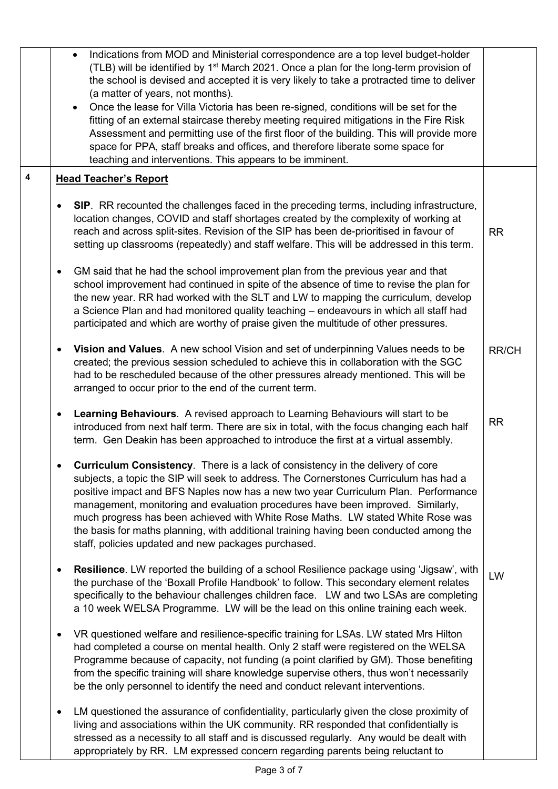|                         | Indications from MOD and Ministerial correspondence are a top level budget-holder<br>$\bullet$<br>(TLB) will be identified by 1 <sup>st</sup> March 2021. Once a plan for the long-term provision of<br>the school is devised and accepted it is very likely to take a protracted time to deliver<br>(a matter of years, not months).<br>• Once the lease for Villa Victoria has been re-signed, conditions will be set for the<br>fitting of an external staircase thereby meeting required mitigations in the Fire Risk<br>Assessment and permitting use of the first floor of the building. This will provide more<br>space for PPA, staff breaks and offices, and therefore liberate some space for<br>teaching and interventions. This appears to be imminent. |              |
|-------------------------|---------------------------------------------------------------------------------------------------------------------------------------------------------------------------------------------------------------------------------------------------------------------------------------------------------------------------------------------------------------------------------------------------------------------------------------------------------------------------------------------------------------------------------------------------------------------------------------------------------------------------------------------------------------------------------------------------------------------------------------------------------------------|--------------|
| $\overline{\mathbf{4}}$ | <b>Head Teacher's Report</b>                                                                                                                                                                                                                                                                                                                                                                                                                                                                                                                                                                                                                                                                                                                                        |              |
|                         | SIP. RR recounted the challenges faced in the preceding terms, including infrastructure,<br>location changes, COVID and staff shortages created by the complexity of working at<br>reach and across split-sites. Revision of the SIP has been de-prioritised in favour of<br>setting up classrooms (repeatedly) and staff welfare. This will be addressed in this term.                                                                                                                                                                                                                                                                                                                                                                                             | <b>RR</b>    |
|                         | GM said that he had the school improvement plan from the previous year and that<br>٠<br>school improvement had continued in spite of the absence of time to revise the plan for<br>the new year. RR had worked with the SLT and LW to mapping the curriculum, develop<br>a Science Plan and had monitored quality teaching - endeavours in which all staff had<br>participated and which are worthy of praise given the multitude of other pressures.                                                                                                                                                                                                                                                                                                               |              |
|                         | Vision and Values. A new school Vision and set of underpinning Values needs to be<br>٠<br>created; the previous session scheduled to achieve this in collaboration with the SGC<br>had to be rescheduled because of the other pressures already mentioned. This will be<br>arranged to occur prior to the end of the current term.                                                                                                                                                                                                                                                                                                                                                                                                                                  | <b>RR/CH</b> |
|                         | Learning Behaviours. A revised approach to Learning Behaviours will start to be<br>introduced from next half term. There are six in total, with the focus changing each half<br>term. Gen Deakin has been approached to introduce the first at a virtual assembly.                                                                                                                                                                                                                                                                                                                                                                                                                                                                                                  | <b>RR</b>    |
|                         | Curriculum Consistency. There is a lack of consistency in the delivery of core<br>subjects, a topic the SIP will seek to address. The Cornerstones Curriculum has had a<br>positive impact and BFS Naples now has a new two year Curriculum Plan. Performance<br>management, monitoring and evaluation procedures have been improved. Similarly,<br>much progress has been achieved with White Rose Maths. LW stated White Rose was<br>the basis for maths planning, with additional training having been conducted among the<br>staff, policies updated and new packages purchased.                                                                                                                                                                                |              |
|                         | Resilience. LW reported the building of a school Resilience package using 'Jigsaw', with<br>the purchase of the 'Boxall Profile Handbook' to follow. This secondary element relates<br>specifically to the behaviour challenges children face. LW and two LSAs are completing<br>a 10 week WELSA Programme. LW will be the lead on this online training each week.                                                                                                                                                                                                                                                                                                                                                                                                  | LW           |
|                         | VR questioned welfare and resilience-specific training for LSAs. LW stated Mrs Hilton<br>٠<br>had completed a course on mental health. Only 2 staff were registered on the WELSA<br>Programme because of capacity, not funding (a point clarified by GM). Those benefiting<br>from the specific training will share knowledge supervise others, thus won't necessarily<br>be the only personnel to identify the need and conduct relevant interventions.                                                                                                                                                                                                                                                                                                            |              |
|                         | LM questioned the assurance of confidentiality, particularly given the close proximity of<br>living and associations within the UK community. RR responded that confidentially is<br>stressed as a necessity to all staff and is discussed regularly. Any would be dealt with<br>appropriately by RR. LM expressed concern regarding parents being reluctant to                                                                                                                                                                                                                                                                                                                                                                                                     |              |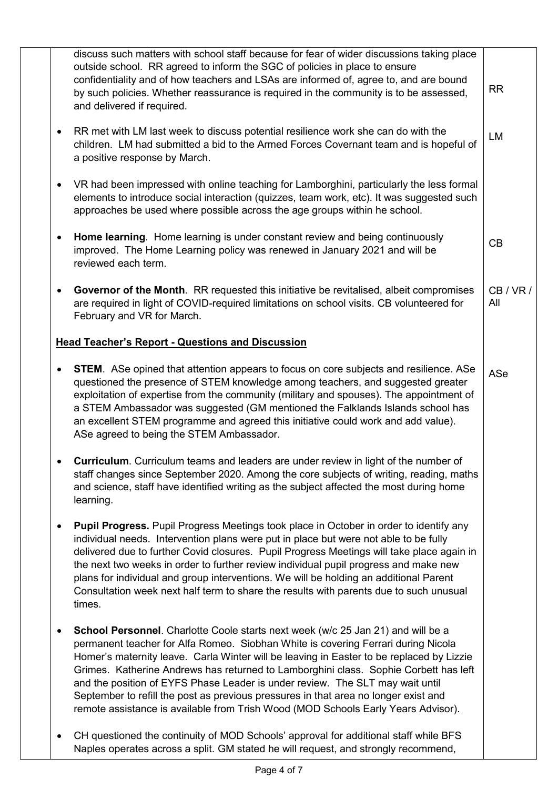| discuss such matters with school staff because for fear of wider discussions taking place<br>outside school. RR agreed to inform the SGC of policies in place to ensure<br>confidentiality and of how teachers and LSAs are informed of, agree to, and are bound<br>by such policies. Whether reassurance is required in the community is to be assessed,<br>and delivered if required.                                                                                                                                                                                                                                             | <b>RR</b>     |
|-------------------------------------------------------------------------------------------------------------------------------------------------------------------------------------------------------------------------------------------------------------------------------------------------------------------------------------------------------------------------------------------------------------------------------------------------------------------------------------------------------------------------------------------------------------------------------------------------------------------------------------|---------------|
| RR met with LM last week to discuss potential resilience work she can do with the<br>$\bullet$<br>children. LM had submitted a bid to the Armed Forces Covernant team and is hopeful of<br>a positive response by March.                                                                                                                                                                                                                                                                                                                                                                                                            | LM            |
| VR had been impressed with online teaching for Lamborghini, particularly the less formal<br>$\bullet$<br>elements to introduce social interaction (quizzes, team work, etc). It was suggested such<br>approaches be used where possible across the age groups within he school.                                                                                                                                                                                                                                                                                                                                                     |               |
| Home learning. Home learning is under constant review and being continuously<br>$\bullet$<br>improved. The Home Learning policy was renewed in January 2021 and will be<br>reviewed each term.                                                                                                                                                                                                                                                                                                                                                                                                                                      | CB            |
| Governor of the Month. RR requested this initiative be revitalised, albeit compromises<br>$\bullet$<br>are required in light of COVID-required limitations on school visits. CB volunteered for<br>February and VR for March.                                                                                                                                                                                                                                                                                                                                                                                                       | CB/VR/<br>All |
| <b>Head Teacher's Report - Questions and Discussion</b>                                                                                                                                                                                                                                                                                                                                                                                                                                                                                                                                                                             |               |
| <b>STEM.</b> ASe opined that attention appears to focus on core subjects and resilience. ASe<br>$\bullet$<br>questioned the presence of STEM knowledge among teachers, and suggested greater<br>exploitation of expertise from the community (military and spouses). The appointment of<br>a STEM Ambassador was suggested (GM mentioned the Falklands Islands school has<br>an excellent STEM programme and agreed this initiative could work and add value).<br>ASe agreed to being the STEM Ambassador.                                                                                                                          | ASe           |
| <b>Curriculum</b> . Curriculum teams and leaders are under review in light of the number of<br>staff changes since September 2020. Among the core subjects of writing, reading, maths<br>and science, staff have identified writing as the subject affected the most during home<br>learning.                                                                                                                                                                                                                                                                                                                                       |               |
| <b>Pupil Progress.</b> Pupil Progress Meetings took place in October in order to identify any<br>$\bullet$<br>individual needs. Intervention plans were put in place but were not able to be fully<br>delivered due to further Covid closures. Pupil Progress Meetings will take place again in<br>the next two weeks in order to further review individual pupil progress and make new<br>plans for individual and group interventions. We will be holding an additional Parent<br>Consultation week next half term to share the results with parents due to such unusual<br>times.                                                |               |
| School Personnel. Charlotte Coole starts next week (w/c 25 Jan 21) and will be a<br>$\bullet$<br>permanent teacher for Alfa Romeo. Siobhan White is covering Ferrari during Nicola<br>Homer's maternity leave. Carla Winter will be leaving in Easter to be replaced by Lizzie<br>Grimes. Katherine Andrews has returned to Lamborghini class. Sophie Corbett has left<br>and the position of EYFS Phase Leader is under review. The SLT may wait until<br>September to refill the post as previous pressures in that area no longer exist and<br>remote assistance is available from Trish Wood (MOD Schools Early Years Advisor). |               |
| CH questioned the continuity of MOD Schools' approval for additional staff while BFS<br>٠<br>Naples operates across a split. GM stated he will request, and strongly recommend,                                                                                                                                                                                                                                                                                                                                                                                                                                                     |               |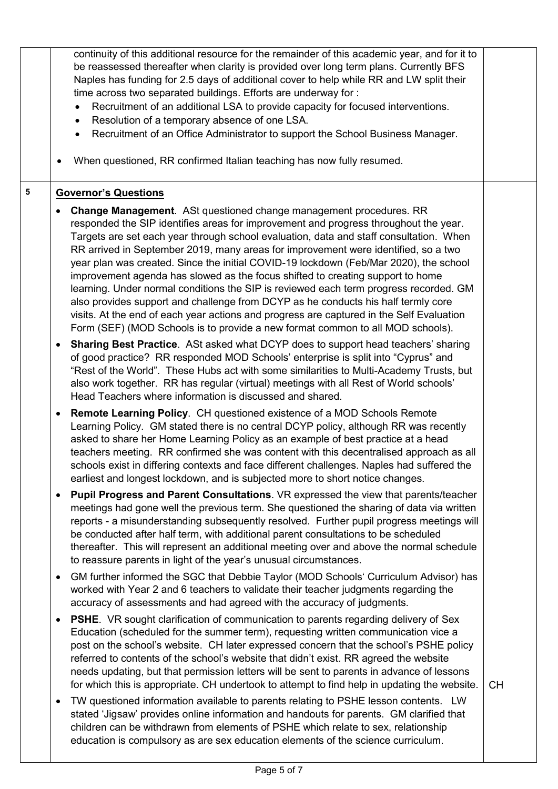|   | continuity of this additional resource for the remainder of this academic year, and for it to<br>be reassessed thereafter when clarity is provided over long term plans. Currently BFS<br>Naples has funding for 2.5 days of additional cover to help while RR and LW split their<br>time across two separated buildings. Efforts are underway for :<br>Recruitment of an additional LSA to provide capacity for focused interventions.<br>$\bullet$<br>Resolution of a temporary absence of one LSA.<br>$\bullet$<br>Recruitment of an Office Administrator to support the School Business Manager.<br>$\bullet$<br>When questioned, RR confirmed Italian teaching has now fully resumed.                                                                                                                                                                                                    |           |
|---|-----------------------------------------------------------------------------------------------------------------------------------------------------------------------------------------------------------------------------------------------------------------------------------------------------------------------------------------------------------------------------------------------------------------------------------------------------------------------------------------------------------------------------------------------------------------------------------------------------------------------------------------------------------------------------------------------------------------------------------------------------------------------------------------------------------------------------------------------------------------------------------------------|-----------|
| 5 | <b>Governor's Questions</b>                                                                                                                                                                                                                                                                                                                                                                                                                                                                                                                                                                                                                                                                                                                                                                                                                                                                   |           |
|   | <b>Change Management.</b> ASt questioned change management procedures. RR<br>٠<br>responded the SIP identifies areas for improvement and progress throughout the year.<br>Targets are set each year through school evaluation, data and staff consultation. When<br>RR arrived in September 2019, many areas for improvement were identified, so a two<br>year plan was created. Since the initial COVID-19 lockdown (Feb/Mar 2020), the school<br>improvement agenda has slowed as the focus shifted to creating support to home<br>learning. Under normal conditions the SIP is reviewed each term progress recorded. GM<br>also provides support and challenge from DCYP as he conducts his half termly core<br>visits. At the end of each year actions and progress are captured in the Self Evaluation<br>Form (SEF) (MOD Schools is to provide a new format common to all MOD schools). |           |
|   | Sharing Best Practice. ASt asked what DCYP does to support head teachers' sharing<br>٠<br>of good practice? RR responded MOD Schools' enterprise is split into "Cyprus" and<br>"Rest of the World". These Hubs act with some similarities to Multi-Academy Trusts, but<br>also work together. RR has regular (virtual) meetings with all Rest of World schools'<br>Head Teachers where information is discussed and shared.                                                                                                                                                                                                                                                                                                                                                                                                                                                                   |           |
|   | Remote Learning Policy. CH questioned existence of a MOD Schools Remote<br>$\bullet$<br>Learning Policy. GM stated there is no central DCYP policy, although RR was recently<br>asked to share her Home Learning Policy as an example of best practice at a head<br>teachers meeting. RR confirmed she was content with this decentralised approach as all<br>schools exist in differing contexts and face different challenges. Naples had suffered the<br>earliest and longest lockdown, and is subjected more to short notice changes.                                                                                                                                                                                                                                                                                                                                                     |           |
|   | Pupil Progress and Parent Consultations. VR expressed the view that parents/teacher<br>$\bullet$<br>meetings had gone well the previous term. She questioned the sharing of data via written<br>reports - a misunderstanding subsequently resolved. Further pupil progress meetings will<br>be conducted after half term, with additional parent consultations to be scheduled<br>thereafter. This will represent an additional meeting over and above the normal schedule<br>to reassure parents in light of the year's unusual circumstances.                                                                                                                                                                                                                                                                                                                                               |           |
|   | GM further informed the SGC that Debbie Taylor (MOD Schools' Curriculum Advisor) has<br>$\bullet$<br>worked with Year 2 and 6 teachers to validate their teacher judgments regarding the<br>accuracy of assessments and had agreed with the accuracy of judgments.                                                                                                                                                                                                                                                                                                                                                                                                                                                                                                                                                                                                                            |           |
|   | <b>PSHE.</b> VR sought clarification of communication to parents regarding delivery of Sex<br>$\bullet$<br>Education (scheduled for the summer term), requesting written communication vice a<br>post on the school's website. CH later expressed concern that the school's PSHE policy<br>referred to contents of the school's website that didn't exist. RR agreed the website<br>needs updating, but that permission letters will be sent to parents in advance of lessons<br>for which this is appropriate. CH undertook to attempt to find help in updating the website.                                                                                                                                                                                                                                                                                                                 | <b>CH</b> |
|   | TW questioned information available to parents relating to PSHE lesson contents. LW<br>$\bullet$<br>stated 'Jigsaw' provides online information and handouts for parents. GM clarified that<br>children can be withdrawn from elements of PSHE which relate to sex, relationship<br>education is compulsory as are sex education elements of the science curriculum.                                                                                                                                                                                                                                                                                                                                                                                                                                                                                                                          |           |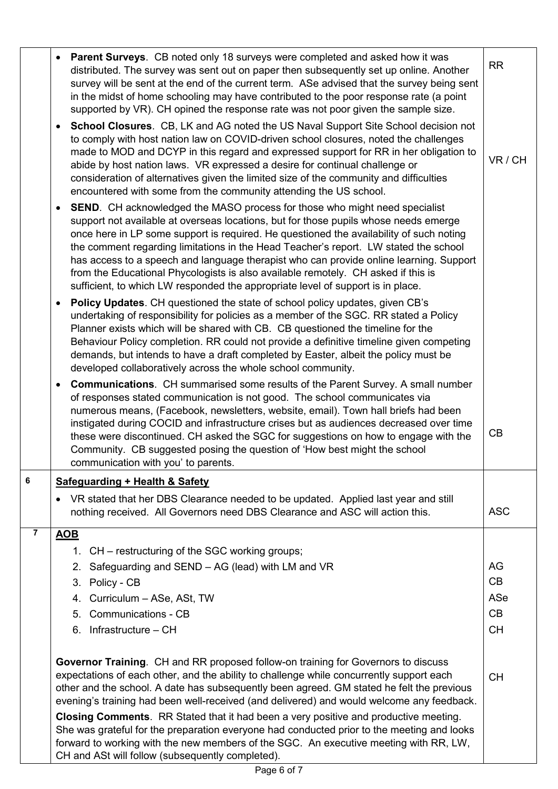|                | <b>Parent Surveys.</b> CB noted only 18 surveys were completed and asked how it was<br>distributed. The survey was sent out on paper then subsequently set up online. Another<br>survey will be sent at the end of the current term. ASe advised that the survey being sent<br>in the midst of home schooling may have contributed to the poor response rate (a point<br>supported by VR). CH opined the response rate was not poor given the sample size.                                                                                                                                                                                  | <b>RR</b>  |
|----------------|---------------------------------------------------------------------------------------------------------------------------------------------------------------------------------------------------------------------------------------------------------------------------------------------------------------------------------------------------------------------------------------------------------------------------------------------------------------------------------------------------------------------------------------------------------------------------------------------------------------------------------------------|------------|
|                | School Closures. CB, LK and AG noted the US Naval Support Site School decision not<br>$\bullet$<br>to comply with host nation law on COVID-driven school closures, noted the challenges<br>made to MOD and DCYP in this regard and expressed support for RR in her obligation to<br>abide by host nation laws. VR expressed a desire for continual challenge or<br>consideration of alternatives given the limited size of the community and difficulties<br>encountered with some from the community attending the US school.                                                                                                              | VR / CH    |
|                | <b>SEND.</b> CH acknowledged the MASO process for those who might need specialist<br>$\bullet$<br>support not available at overseas locations, but for those pupils whose needs emerge<br>once here in LP some support is required. He questioned the availability of such noting<br>the comment regarding limitations in the Head Teacher's report. LW stated the school<br>has access to a speech and language therapist who can provide online learning. Support<br>from the Educational Phycologists is also available remotely. CH asked if this is<br>sufficient, to which LW responded the appropriate level of support is in place. |            |
|                | <b>Policy Updates.</b> CH questioned the state of school policy updates, given CB's<br>undertaking of responsibility for policies as a member of the SGC. RR stated a Policy<br>Planner exists which will be shared with CB. CB questioned the timeline for the<br>Behaviour Policy completion. RR could not provide a definitive timeline given competing<br>demands, but intends to have a draft completed by Easter, albeit the policy must be<br>developed collaboratively across the whole school community.                                                                                                                           |            |
|                | <b>Communications.</b> CH summarised some results of the Parent Survey. A small number<br>of responses stated communication is not good. The school communicates via<br>numerous means, (Facebook, newsletters, website, email). Town hall briefs had been<br>instigated during COCID and infrastructure crises but as audiences decreased over time<br>these were discontinued. CH asked the SGC for suggestions on how to engage with the<br>Community. CB suggested posing the question of 'How best might the school<br>communication with you' to parents.                                                                             | CB         |
| 6              | <b>Safeguarding + Health &amp; Safety</b>                                                                                                                                                                                                                                                                                                                                                                                                                                                                                                                                                                                                   |            |
|                | VR stated that her DBS Clearance needed to be updated. Applied last year and still<br>nothing received. All Governors need DBS Clearance and ASC will action this.                                                                                                                                                                                                                                                                                                                                                                                                                                                                          | <b>ASC</b> |
| $\overline{7}$ | <b>AOB</b>                                                                                                                                                                                                                                                                                                                                                                                                                                                                                                                                                                                                                                  |            |
|                | 1. CH – restructuring of the SGC working groups;                                                                                                                                                                                                                                                                                                                                                                                                                                                                                                                                                                                            |            |
|                | 2. Safeguarding and SEND - AG (lead) with LM and VR                                                                                                                                                                                                                                                                                                                                                                                                                                                                                                                                                                                         | AG         |
|                | 3. Policy - CB                                                                                                                                                                                                                                                                                                                                                                                                                                                                                                                                                                                                                              | CB         |
|                | 4. Curriculum - ASe, ASt, TW                                                                                                                                                                                                                                                                                                                                                                                                                                                                                                                                                                                                                | ASe<br>CB  |
|                | 5. Communications - CB<br>6. Infrastructure - CH                                                                                                                                                                                                                                                                                                                                                                                                                                                                                                                                                                                            | <b>CH</b>  |
|                |                                                                                                                                                                                                                                                                                                                                                                                                                                                                                                                                                                                                                                             |            |
|                | Governor Training. CH and RR proposed follow-on training for Governors to discuss<br>expectations of each other, and the ability to challenge while concurrently support each<br>other and the school. A date has subsequently been agreed. GM stated he felt the previous<br>evening's training had been well-received (and delivered) and would welcome any feedback.                                                                                                                                                                                                                                                                     | <b>CH</b>  |
|                | Closing Comments. RR Stated that it had been a very positive and productive meeting.<br>She was grateful for the preparation everyone had conducted prior to the meeting and looks<br>forward to working with the new members of the SGC. An executive meeting with RR, LW,<br>CH and ASt will follow (subsequently completed).                                                                                                                                                                                                                                                                                                             |            |